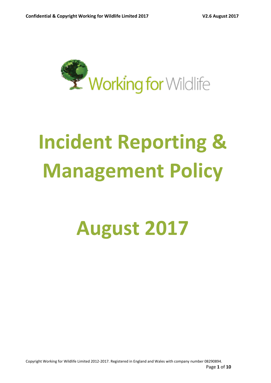

# **Incident Reporting & Management Policy**

# **August 2017**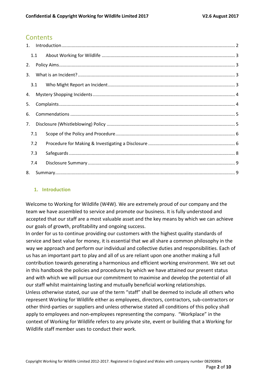# **Contents**

| $\mathbf{1}$ . |     |  |  |
|----------------|-----|--|--|
|                | 1.1 |  |  |
| 2.             |     |  |  |
| 3.             |     |  |  |
|                | 3.1 |  |  |
| 4.             |     |  |  |
| 5.             |     |  |  |
| 6.             |     |  |  |
| 7.             |     |  |  |
|                | 7.1 |  |  |
|                | 7.2 |  |  |
|                | 7.3 |  |  |
|                | 7.4 |  |  |
| 8.             |     |  |  |

#### <span id="page-1-0"></span>**1. Introduction**

Welcome to Working for Wildlife (W4W). We are extremely proud of our company and the team we have assembled to service and promote our business. It is fully understood and accepted that our staff are a most valuable asset and the key means by which we can achieve our goals of growth, profitability and ongoing success.

In order for us to continue providing our customers with the highest quality standards of service and best value for money, it is essential that we all share a common philosophy in the way we approach and perform our individual and collective duties and responsibilities. Each of us has an important part to play and all of us are reliant upon one another making a full contribution towards generating a harmonious and efficient working environment. We set out in this handbook the policies and procedures by which we have attained our present status and with which we will pursue our commitment to maximise and develop the potential of all our staff whilst maintaining lasting and mutually beneficial working relationships. Unless otherwise stated, our use of the term "staff" shall be deemed to include all others who represent Working for Wildlife either as employees, directors, contractors, sub-contractors or other third-parties or suppliers and unless otherwise stated all conditions of this policy shall apply to employees and non-employees representing the company. "Workplace" in the context of Working for Wildlife refers to any private site, event or building that a Working for Wildlife staff member uses to conduct their work.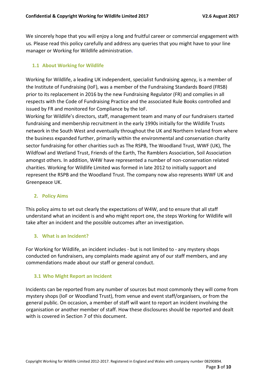We sincerely hope that you will enjoy a long and fruitful career or commercial engagement with us. Please read this policy carefully and address any queries that you might have to your line manager or Working for Wildlife administration.

#### <span id="page-2-0"></span>**1.1 About Working for Wildlife**

Working for Wildlife, a leading UK independent, specialist fundraising agency, is a member of the Institute of Fundraising (IoF), was a member of the Fundraising Standards Board (FRSB) prior to its replacement in 2016 by the new Fundraising Regulator (FR) and complies in all respects with the Code of Fundraising Practice and the associated Rule Books controlled and issued by FR and monitored for Compliance by the IoF.

Working for Wildlife's directors, staff, management team and many of our fundraisers started fundraising and membership recruitment in the early 1990s initially for the Wildlife Trusts network in the South West and eventually throughout the UK and Northern Ireland from where the business expanded further, primarily within the environmental and conservation charity sector fundraising for other charities such as The RSPB, The Woodland Trust, WWF (UK), The Wildfowl and Wetland Trust, Friends of the Earth, The Ramblers Association, Soil Association amongst others. In addition, W4W have represented a number of non-conservation related charities. Working for Wildlife Limited was formed in late 2012 to initially support and represent the RSPB and the Woodland Trust. The company now also represents WWF UK and Greenpeace UK.

#### <span id="page-2-1"></span>**2. Policy Aims**

This policy aims to set out clearly the expectations of W4W, and to ensure that all staff understand what an incident is and who might report one, the steps Working for Wildlife will take after an incident and the possible outcomes after an investigation.

#### <span id="page-2-2"></span>**3. What is an Incident?**

For Working for Wildlife, an incident includes - but is not limited to - any mystery shops conducted on fundraisers, any complaints made against any of our staff members, and any commendations made about our staff or general conduct.

#### <span id="page-2-3"></span>**3.1 Who Might Report an Incident**

Incidents can be reported from any number of sources but most commonly they will come from mystery shops (IoF or Woodland Trust), from venue and event staff/organisers, or from the general public. On occasion, a member of staff will want to report an incident involving the organisation or another member of staff. How these disclosures should be reported and dealt with is covered in Section 7 of this document.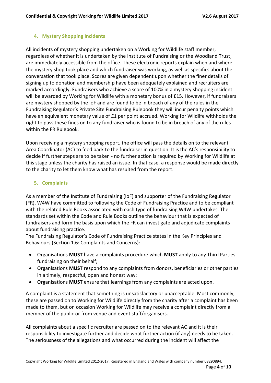#### <span id="page-3-0"></span>**4. Mystery Shopping Incidents**

All incidents of mystery shopping undertaken on a Working for Wildlife staff member, regardless of whether it is undertaken by the Institute of Fundraising or the Woodland Trust, are immediately accessible from the office. These electronic reports explain when and where the mystery shop took place and which fundraiser was working, as well as specifics about the conversation that took place. Scores are given dependent upon whether the finer details of signing up to donation and membership have been adequately explained and recruiters are marked accordingly. Fundraisers who achieve a score of 100% in a mystery shopping incident will be awarded by Working for Wildlife with a monetary bonus of £15. However, if fundraisers are mystery shopped by the IoF and are found to be in breach of any of the rules in the Fundraising Regulator's Private Site Fundraising Rulebook they will incur penalty points which have an equivalent monetary value of £1 per point accrued. Working for Wildlife withholds the right to pass these fines on to any fundraiser who is found to be in breach of any of the rules within the FR Rulebook.

Upon receiving a mystery shopping report, the office will pass the details on to the relevant Area Coordinator (AC) to feed back to the fundraiser in question. It is the AC's responsibility to decide if further steps are to be taken - no further action is required by Working for Wildlife at this stage unless the charity has raised an issue. In that case, a response would be made directly to the charity to let them know what has resulted from the report.

#### <span id="page-3-1"></span>**5. Complaints**

As a member of the Institute of Fundraising (IoF) and supporter of the Fundraising Regulator (FR), W4W have committed to following the Code of Fundraising Practice and to be compliant with the related Rule Books associated with each type of fundraising W4W undertakes. The standards set within the Code and Rule Books outline the behaviour that is expected of fundraisers and form the basis upon which the FR can investigate and adjudicate complaints about fundraising practice.

The Fundraising Regulator's Code of Fundraising Practice states in the Key Principles and Behaviours (Section 1.6: Complaints and Concerns):

- Organisations **MUST** have a complaints procedure which **MUST** apply to any Third Parties fundraising on their behalf;
- Organisations **MUST** respond to any complaints from donors, beneficiaries or other parties in a timely, respectful, open and honest way;
- Organisations **MUST** ensure that learnings from any complaints are acted upon.

A complaint is a statement that something is unsatisfactory or unacceptable. Most commonly, these are passed on to Working for Wildlife directly from the charity after a complaint has been made to them, but on occasion Working for Wildlife may receive a complaint directly from a member of the public or from venue and event staff/organisers.

All complaints about a specific recruiter are passed on to the relevant AC and it is their responsibility to investigate further and decide what further action (if any) needs to be taken. The seriousness of the allegations and what occurred during the incident will affect the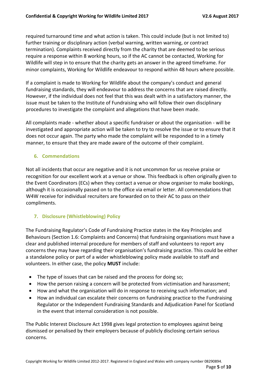required turnaround time and what action is taken. This could include (but is not limited to) further training or disciplinary action (verbal warning, written warning, or contract termination). Complaints received directly from the charity that are deemed to be serious require a response within 8 working hours, so if the AC cannot be contacted, Working for Wildlife will step in to ensure that the charity gets an answer in the agreed timeframe. For minor complaints, Working for Wildlife endeavour to respond within 48 hours where possible.

If a complaint is made to Working for Wildlife about the company's conduct and general fundraising standards, they will endeavour to address the concerns that are raised directly. However, if the individual does not feel that this was dealt with in a satisfactory manner, the issue must be taken to the Institute of Fundraising who will follow their own disciplinary procedures to investigate the complaint and allegations that have been made.

All complaints made - whether about a specific fundraiser or about the organisation - will be investigated and appropriate action will be taken to try to resolve the issue or to ensure that it does not occur again. The party who made the complaint will be responded to in a timely manner, to ensure that they are made aware of the outcome of their complaint.

#### <span id="page-4-0"></span>**6. Commendations**

Not all incidents that occur are negative and it is not uncommon for us receive praise or recognition for our excellent work at a venue or show. This feedback is often originally given to the Event Coordinators (ECs) when they contact a venue or show organiser to make bookings, although it is occasionally passed on to the office via email or letter. All commendations that W4W receive for individual recruiters are forwarded on to their AC to pass on their compliments.

#### <span id="page-4-1"></span>**7. Disclosure (Whistleblowing) Policy**

The Fundraising Regulator's Code of Fundraising Practice states in the Key Principles and Behaviours (Section 1.6: Complaints and Concerns) that fundraising organisations must have a clear and published internal procedure for members of staff and volunteers to report any concerns they may have regarding their organisation's fundraising practice. This could be either a standalone policy or part of a wider whistleblowing policy made available to staff and volunteers. In either case, the policy **MUST** include:

- The type of issues that can be raised and the process for doing so;
- How the person raising a concern will be protected from victimisation and harassment;
- How and what the organisation will do in response to receiving such information; and
- How an individual can escalate their concerns on fundraising practice to the Fundraising Regulator or the Independent Fundraising Standards and Adjudication Panel for Scotland in the event that internal consideration is not possible.

The Public Interest Disclosure Act 1998 gives legal protection to employees against being dismissed or penalised by their employers because of publicly disclosing certain serious concerns.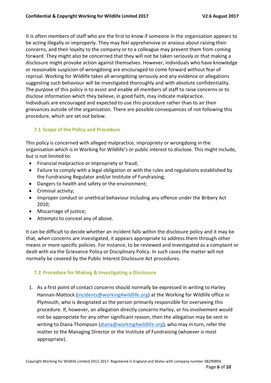It is often members of staff who are the first to know if someone in the organisation appears to be acting illegally or improperly. They may feel apprehensive or anxious about raising their concerns, and their loyalty to the company or to a colleague may prevent them from coming forward. They might also be concerned that they will not be taken seriously or that making a disclosure might provoke action against themselves. However, individuals who have knowledge or reasonable suspicion of wrongdoing are encouraged to come forward without fear of reprisal. Working for Wildlife takes all wrongdoing seriously and any evidence or allegations suggesting such behaviour will be investigated thoroughly and with absolute confidentiality. The purpose of this policy is to assist and enable all members of staff to raise concerns or to disclose information which they believe, in good faith, may indicate malpractice. Individuals are encouraged and expected to use this procedure rather than to air their grievances outside of the organisation. There are possible consequences of not following this procedure, which are set out below.

# <span id="page-5-0"></span>**7.1 Scope of the Policy and Procedure**

This policy is concerned with alleged malpractice, impropriety or wrongdoing in the organisation which is in Working for Wildlife's or public interest to disclose. This might include, but is not limited to:

- Financial malpractice or impropriety or fraud;
- Failure to comply with a legal obligation or with the rules and regulations established by the Fundraising Regulator and/or Institute of Fundraising;
- Dangers to health and safety or the environment;
- Criminal activity;
- Improper conduct or unethical behaviour including any offence under the Bribery Act 2010;
- Miscarriage of justice;
- Attempts to conceal any of above.

It can be difficult to decide whether an incident falls within the disclosure policy and it may be that, when concerns are investigated, it appears appropriate to address them through other means or more specific policies. For instance, to be reviewed and investigated as a complaint or dealt with via the Grievance Policy or Disciplinary Policy. In such cases the matter will not normally be covered by the Public Interest Disclosure Act procedures.

#### <span id="page-5-1"></span>**7.2 Procedure for Making & Investigating a Disclosure**

1. As a first point of contact concerns should normally be expressed in writing to Harley Hannan-Mattock [\(incidents@working4wildlife.org\)](mailto:incidents@working4wildlife.org) at the Working for Wildlife office in Plymouth, who is designated as the person primarily responsible for overseeing this procedure. If, however, an allegation directly concerns Harley, or his involvement would not be appropriate for any other significant reason, then the allegation may be sent in writing to Diana Thompson [\(diana@working4wildlife.org\)](mailto:diana@working4wildlife.org), who may in turn, refer the matter to the Managing Director or the Institute of Fundraising (whoever is most appropriate).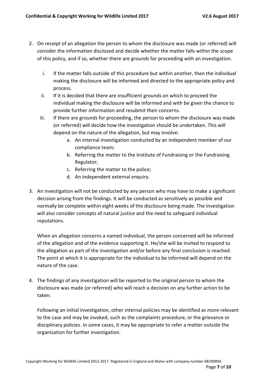- 2. On receipt of an allegation the person to whom the disclosure was made (or referred) will consider the information disclosed and decide whether the matter falls within the scope of this policy, and if so, whether there are grounds for proceeding with an investigation.
	- i. If the matter falls outside of this procedure but within another, then the individual making the disclosure will be informed and directed to the appropriate policy and process.
	- ii. If it is decided that there are insufficient grounds on which to proceed the individual making the disclosure will be informed and with be given the chance to provide further information and resubmit their concerns.
	- iii. If there are grounds for proceeding, the person to whom the disclosure was made (or referred) will decide how the investigation should be undertaken. This will depend on the nature of the allegation, but may involve:
		- a. An internal investigation conducted by an independent member of our compliance team;
		- b. Referring the matter to the Institute of Fundraising or the Fundraising Regulator;
		- c. Referring the matter to the police;
		- d. An independent external enquiry.
- 3. An investigation will not be conducted by any person who may have to make a significant decision arising from the findings. It will be conducted as sensitively as possible and normally be complete within eight weeks of the disclosure being made. The investigation will also consider concepts of natural justice and the need to safeguard individual reputations.

When an allegation concerns a named individual, the person concerned will be informed of the allegation and of the evidence supporting it. He/she will be invited to respond to the allegation as part of the investigation and/or before any final conclusion is reached. The point at which it is appropriate for the individual to be informed will depend on the nature of the case.

4. The findings of any investigation will be reported to the original person to whom the disclosure was made (or referred) who will reach a decision on any further action to be taken.

Following an initial investigation, other internal policies may be identified as more relevant to the case and may be invoked, such as the complaints procedure, or the grievance or disciplinary policies. In some cases, it may be appropriate to refer a matter outside the organisation for further investigation.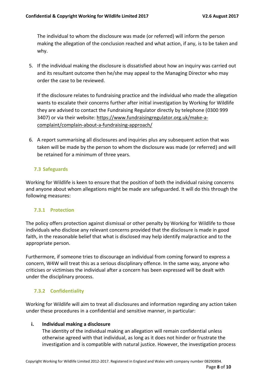The individual to whom the disclosure was made (or referred) will inform the person making the allegation of the conclusion reached and what action, if any, is to be taken and why.

5. If the individual making the disclosure is dissatisfied about how an inquiry was carried out and its resultant outcome then he/she may appeal to the Managing Director who may order the case to be reviewed.

If the disclosure relates to fundraising practice and the individual who made the allegation wants to escalate their concerns further after initial investigation by Working for Wildlife they are advised to contact the Fundraising Regulator directly by telephone (0300 999 3407) or via their website: [https://www.fundraisingregulator.org.uk/make-a](https://www.fundraisingregulator.org.uk/make-a-complaint/complain-about-a-fundraising-approach/)[complaint/complain-about-a-fundraising-approach/](https://www.fundraisingregulator.org.uk/make-a-complaint/complain-about-a-fundraising-approach/)

6. A report summarising all disclosures and inquiries plus any subsequent action that was taken will be made by the person to whom the disclosure was made (or referred) and will be retained for a minimum of three years.

# <span id="page-7-0"></span>**7.3 Safeguards**

Working for Wildlife is keen to ensure that the position of both the individual raising concerns and anyone about whom allegations might be made are safeguarded. It will do this through the following measures:

#### **7.3.1 Protection**

The policy offers protection against dismissal or other penalty by Working for Wildlife to those individuals who disclose any relevant concerns provided that the disclosure is made in good faith, in the reasonable belief that what is disclosed may help identify malpractice and to the appropriate person.

Furthermore, if someone tries to discourage an individual from coming forward to express a concern, W4W will treat this as a serious disciplinary offence. In the same way, anyone who criticises or victimises the individual after a concern has been expressed will be dealt with under the disciplinary process.

# **7.3.2 Confidentiality**

Working for Wildlife will aim to treat all disclosures and information regarding any action taken under these procedures in a confidential and sensitive manner, in particular:

# **i. Individual making a disclosure**

The identity of the individual making an allegation will remain confidential unless otherwise agreed with that individual, as long as it does not hinder or frustrate the investigation and is compatible with natural justice. However, the investigation process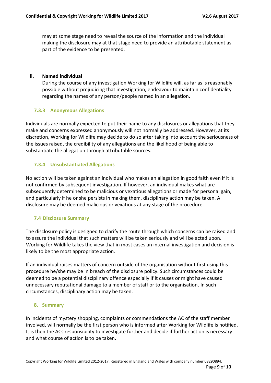may at some stage need to reveal the source of the information and the individual making the disclosure may at that stage need to provide an attributable statement as part of the evidence to be presented.

#### **ii. Named individual**

During the course of any investigation Working for Wildlife will, as far as is reasonably possible without prejudicing that investigation, endeavour to maintain confidentiality regarding the names of any person/people named in an allegation.

#### **7.3.3 Anonymous Allegations**

Individuals are normally expected to put their name to any disclosures or allegations that they make and concerns expressed anonymously will not normally be addressed. However, at its discretion, Working for Wildlife may decide to do so after taking into account the seriousness of the issues raised, the credibility of any allegations and the likelihood of being able to substantiate the allegation through attributable sources.

#### **7.3.4 Unsubstantiated Allegations**

No action will be taken against an individual who makes an allegation in good faith even if it is not confirmed by subsequent investigation. If however, an individual makes what are subsequently determined to be malicious or vexatious allegations or made for personal gain, and particularly if he or she persists in making them, disciplinary action may be taken. A disclosure may be deemed malicious or vexatious at any stage of the procedure.

#### <span id="page-8-0"></span>**7.4 Disclosure Summary**

The disclosure policy is designed to clarify the route through which concerns can be raised and to assure the individual that such matters will be taken seriously and will be acted upon. Working for Wildlife takes the view that in most cases an internal investigation and decision is likely to be the most appropriate action.

If an individual raises matters of concern outside of the organisation without first using this procedure he/she may be in breach of the disclosure policy. Such circumstances could be deemed to be a potential disciplinary offence especially if it causes or might have caused unnecessary reputational damage to a member of staff or to the organisation. In such circumstances, disciplinary action may be taken.

#### <span id="page-8-1"></span>**8. Summary**

In incidents of mystery shopping, complaints or commendations the AC of the staff member involved, will normally be the first person who is informed after Working for Wildlife is notified. It is then the ACs responsibility to investigate further and decide if further action is necessary and what course of action is to be taken.